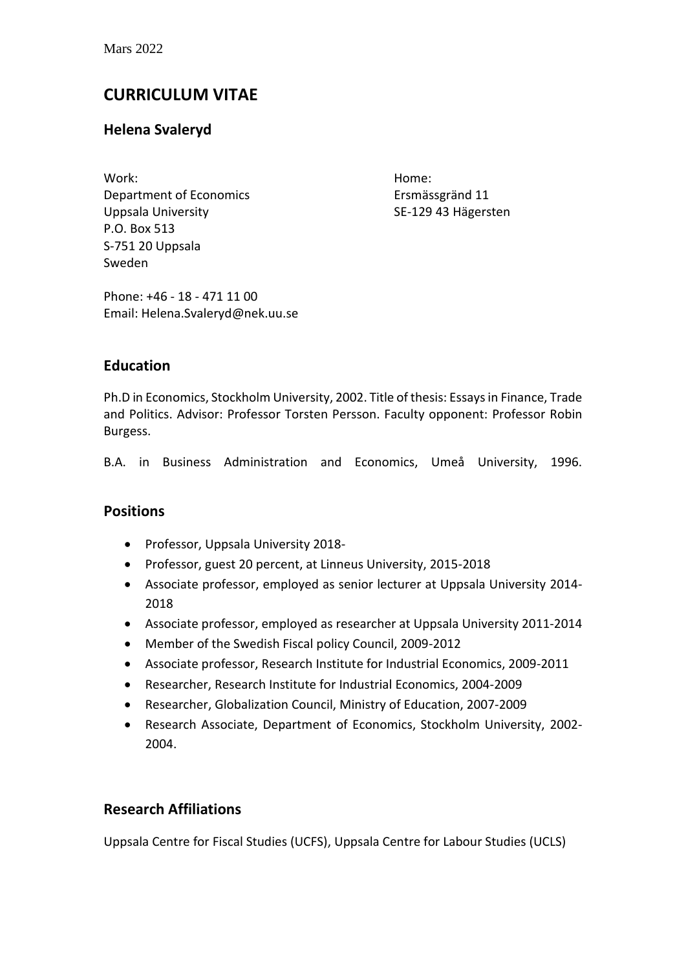# **CURRICULUM VITAE**

# **Helena Svaleryd**

Work: Home: Department of Economics Ersmässgränd 11 Uppsala University **SE-129 43 Hägersten** P.O. Box 513 S-751 20 Uppsala Sweden

Phone: +46 - 18 - 471 11 00 Email: Helena.Svaleryd@nek.uu.se

### **Education**

Ph.D in Economics, Stockholm University, 2002. Title of thesis: Essays in Finance, Trade and Politics. Advisor: Professor Torsten Persson. Faculty opponent: Professor Robin Burgess.

B.A. in Business Administration and Economics, Umeå University, 1996.

### **Positions**

- Professor, Uppsala University 2018-
- Professor, guest 20 percent, at Linneus University, 2015-2018
- Associate professor, employed as senior lecturer at Uppsala University 2014- 2018
- Associate professor, employed as researcher at Uppsala University 2011-2014
- Member of the Swedish Fiscal policy Council, 2009-2012
- Associate professor, Research Institute for Industrial Economics, 2009-2011
- Researcher, Research Institute for Industrial Economics, 2004-2009
- Researcher, Globalization Council, Ministry of Education, 2007-2009
- Research Associate, Department of Economics, Stockholm University, 2002- 2004.

### **Research Affiliations**

Uppsala Centre for Fiscal Studies (UCFS), Uppsala Centre for Labour Studies (UCLS)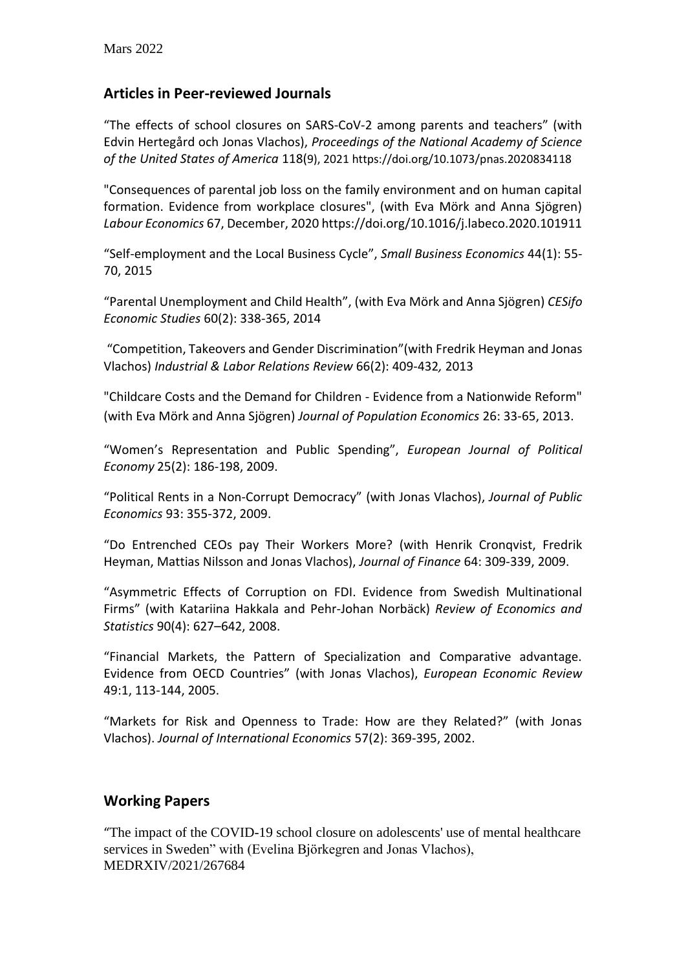### **Articles in Peer-reviewed Journals**

"The effects of school closures on SARS-CoV-2 among parents and teachers" (with Edvin Hertegård och Jonas Vlachos), *Proceedings of the National Academy of Science of the United States of America* 118(9), 202[1 https://doi.org/10.1073/pnas.2020834118](https://doi.org/10.1073/pnas.2020834118)

"Consequences of parental job loss on the family environment and on human capital formation. Evidence from workplace closures", (with Eva Mörk and Anna Sjögren) *Labour Economics* 67, December, 2020 https://doi.org/10.1016/j.labeco.2020.101911

"Self-employment and the Local Business Cycle", *Small Business Economics* 44(1): 55- 70, 2015

"Parental Unemployment and Child Health", (with Eva Mörk and Anna Sjögren) *CESifo Economic Studies* 60(2): 338-365, 2014

"Competition, Takeovers and Gender Discrimination"(with Fredrik Heyman and Jonas Vlachos) *Industrial & Labor Relations Review* 66(2): 409-432*,* 2013

"Childcare Costs and the Demand for Children - Evidence from a Nationwide Reform" (with Eva Mörk and Anna Sjögren) *Journal of Population Economics* 26: 33-65, 2013.

"Women's Representation and Public Spending", *European Journal of Political Economy* 25(2): 186-198, 2009.

"Political Rents in a Non-Corrupt Democracy" (with Jonas Vlachos), *Journal of Public Economics* 93: 355-372, 2009.

"Do Entrenched CEOs pay Their Workers More? (with Henrik Cronqvist, Fredrik Heyman, Mattias Nilsson and Jonas Vlachos), *Journal of Finance* 64: 309-339, 2009.

"Asymmetric Effects of Corruption on FDI. Evidence from Swedish Multinational Firms" (with Katariina Hakkala and Pehr-Johan Norbäck) *Review of Economics and Statistics* 90(4): 627–642, 2008.

"Financial Markets, the Pattern of Specialization and Comparative advantage. Evidence from OECD Countries" (with Jonas Vlachos), *European Economic Review* 49:1, 113-144, 2005.

"Markets for Risk and Openness to Trade: How are they Related?" (with Jonas Vlachos). *Journal of International Economics* 57(2): 369-395, 2002.

### **Working Papers**

"The impact of the COVID-19 school closure on adolescents' use of mental healthcare services in Sweden" with (Evelina Björkegren and Jonas Vlachos), MEDRXIV/2021/267684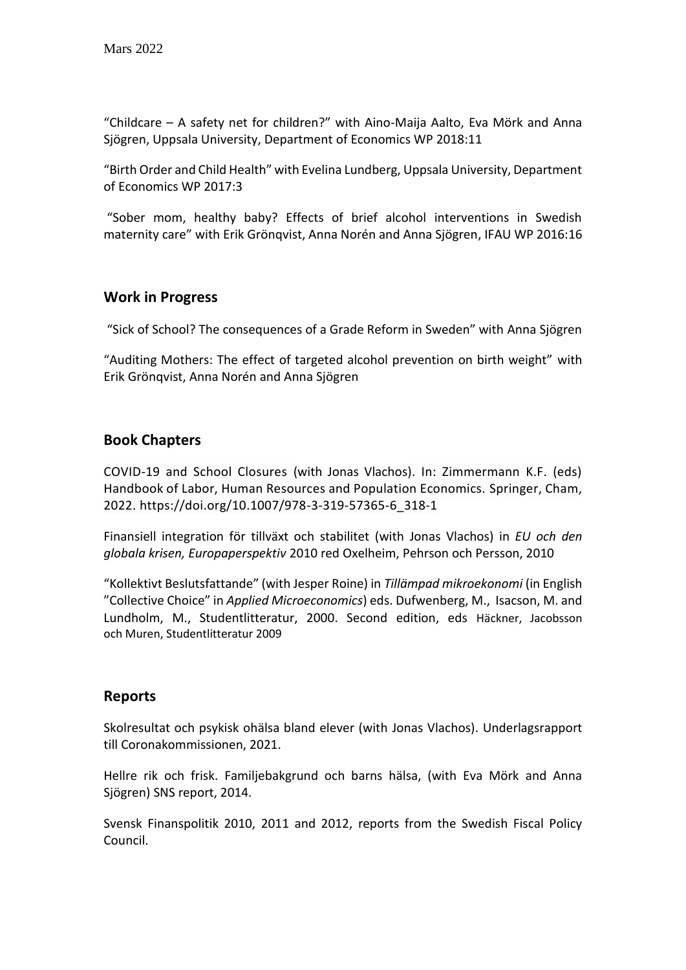"Childcare – A safety net for children?" with Aino-Maija Aalto, Eva Mörk and Anna Sjögren, Uppsala University, Department of Economics WP 2018:11

"Birth Order and Child Health" with Evelina Lundberg, Uppsala University, Department of Economics WP 2017:3

"Sober mom, healthy baby? Effects of brief alcohol interventions in Swedish maternity care" with Erik Grönqvist, Anna Norén and Anna Sjögren, IFAU WP 2016:16

### **Work in Progress**

"Sick of School? The consequences of a Grade Reform in Sweden" with Anna Sjögren

"Auditing Mothers: The effect of targeted alcohol prevention on birth weight" with Erik Grönqvist, Anna Norén and Anna Sjögren

### **Book Chapters**

COVID-19 and School Closures (with Jonas Vlachos). In: Zimmermann K.F. (eds) Handbook of Labor, Human Resources and Population Economics. Springer, Cham, 2022. https://doi.org/10.1007/978-3-319-57365-6\_318-1

Finansiell integration för tillväxt och stabilitet (with Jonas Vlachos) in *EU och den globala krisen, Europaperspektiv* 2010 red Oxelheim, Pehrson och Persson, 2010

"Kollektivt Beslutsfattande" (with Jesper Roine) in *Tillämpad mikroekonomi* (in English "Collective Choice" in *Applied Microeconomics*) eds. Dufwenberg, M., Isacson, M. and Lundholm, M., Studentlitteratur, 2000. Second edition, eds Häckner, Jacobsson och Muren, Studentlitteratur 2009

### **Reports**

Skolresultat och psykisk ohälsa bland elever (with Jonas Vlachos). Underlagsrapport till Coronakommissionen, 2021.

Hellre rik och frisk. Familjebakgrund och barns hälsa, (with Eva Mörk and Anna Sjögren) SNS report, 2014.

Svensk Finanspolitik 2010, 2011 and 2012, reports from the Swedish Fiscal Policy Council.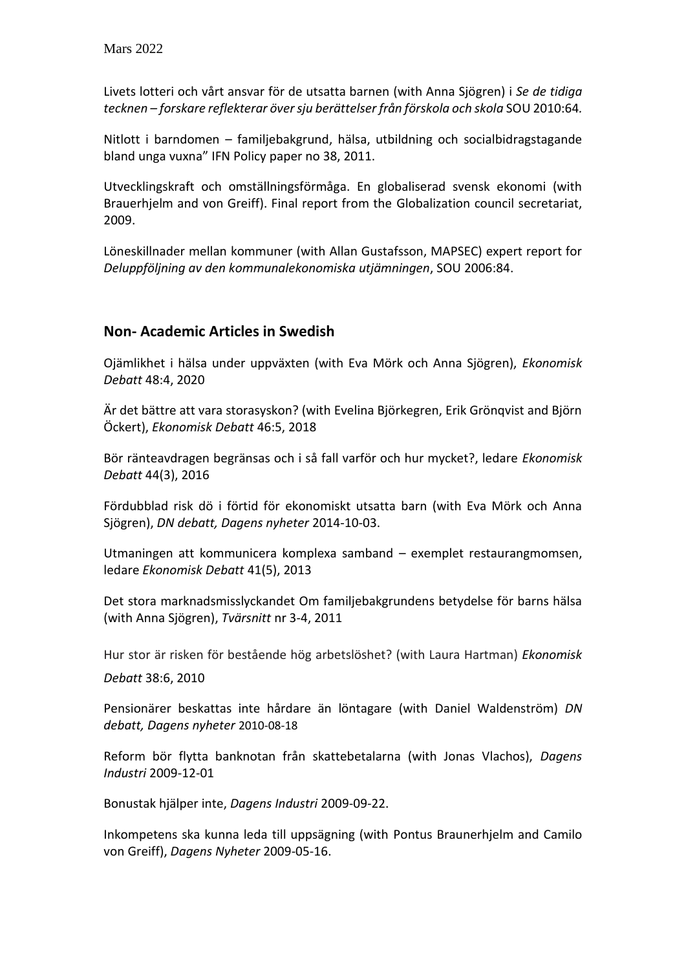Livets lotteri och vårt ansvar för de utsatta barnen (with Anna Sjögren) i *Se de tidiga tecknen – forskare reflekterar över sju berättelser från förskola och skola* SOU 2010:64*.*

Nitlott i barndomen – familjebakgrund, hälsa, utbildning och socialbidragstagande bland unga vuxna" IFN Policy paper no 38, 2011.

Utvecklingskraft och omställningsförmåga. En globaliserad svensk ekonomi (with Brauerhjelm and von Greiff). Final report from the Globalization council secretariat, 2009.

Löneskillnader mellan kommuner (with Allan Gustafsson, MAPSEC) expert report for *Deluppföljning av den kommunalekonomiska utjämningen*, SOU 2006:84.

### **Non- Academic Articles in Swedish**

Ojämlikhet i hälsa under uppväxten (with Eva Mörk och Anna Sjögren), *Ekonomisk Debatt* 48:4, 2020

Är det bättre att vara storasyskon? (with Evelina Björkegren, Erik Grönqvist and Björn Öckert), *Ekonomisk Debatt* 46:5, 2018

Bör ränteavdragen begränsas och i så fall varför och hur mycket?, ledare *Ekonomisk Debatt* 44(3), 2016

Fördubblad risk dö i förtid för ekonomiskt utsatta barn (with Eva Mörk och Anna Sjögren), *DN debatt, Dagens nyheter* 2014-10-03.

Utmaningen att kommunicera komplexa samband – exemplet restaurangmomsen, ledare *Ekonomisk Debatt* 41(5), 2013

Det stora marknadsmisslyckandet [Om familjebakgrundens betydelse för barns hälsa](http://www.vr.se/huvudmeny/tvarsnittnr342011/essadetstoramarknadsmisslyckandetomfamiljebakgrundensbetydelseforbarnshalsa.4.3a36c20d133af0c12958000422.html) (with Anna Sjögren), *Tvärsnitt* nr 3-4, 2011

Hur stor är risken för bestående hög arbetslöshet? (with Laura Hartman) *Ekonomisk* 

*Debatt* 38:6, 2010

Pensionärer beskattas inte hårdare än löntagare (with Daniel Waldenström) *DN debatt, Dagens nyheter* 2010-08-18

Reform bör flytta banknotan från skattebetalarna (with Jonas Vlachos), *Dagens Industri* 2009-12-01

Bonustak hjälper inte, *Dagens Industri* 2009-09-22.

Inkompetens ska kunna leda till uppsägning (with Pontus Braunerhjelm and Camilo von Greiff), *Dagens Nyheter* 2009-05-16.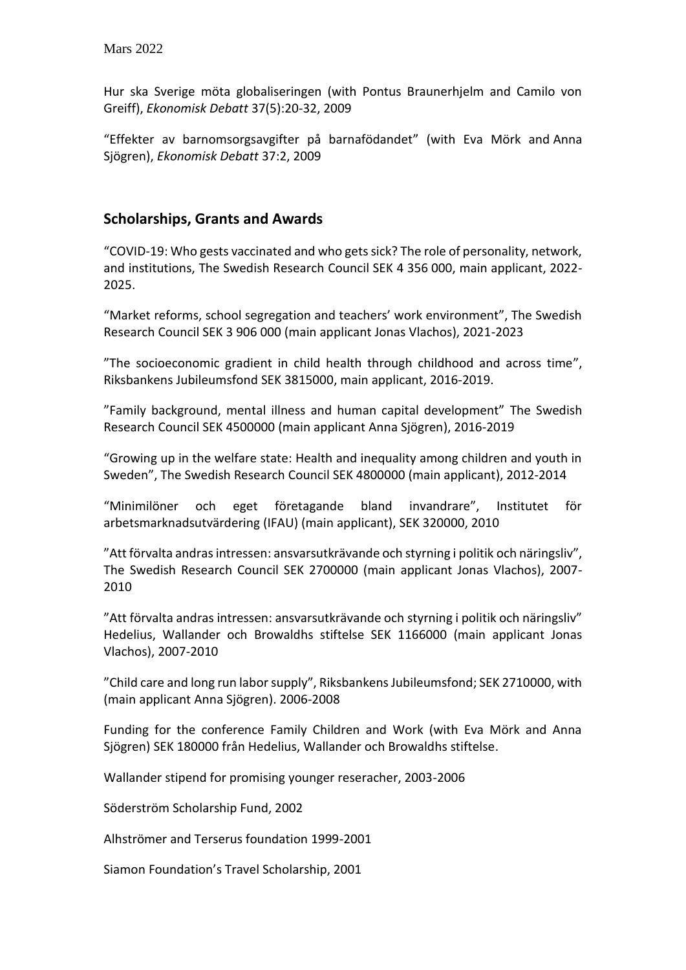Hur ska Sverige möta globaliseringen (with Pontus Braunerhjelm and Camilo von Greiff), *Ekonomisk Debatt* 37(5):20-32, 2009

"[Effekter av barnomsorgsavgifter på barnafödandet](http://www.ifn.se/BinaryLoader.axd?OwnerID=0adf1f82-fbf7-4378-8cc6-3feba2f43883&OwnerType=0&PropertyName=File1&FileName=Reprint776.pdf)" (with Eva Mörk and Anna Sjögren), *Ekonomisk Debatt* 37:2, 2009

### **Scholarships, Grants and Awards**

"COVID-19: Who gests vaccinated and who gets sick? The role of personality, network, and institutions, The Swedish Research Council SEK 4 356 000, main applicant, 2022- 2025.

"Market reforms, school segregation and teachers' work environment", The Swedish Research Council SEK 3 906 000 (main applicant Jonas Vlachos), 2021-2023

"The socioeconomic gradient in child health through childhood and across time", Riksbankens Jubileumsfond SEK 3815000, main applicant, 2016-2019.

"Family background, mental illness and human capital development" The Swedish Research Council SEK 4500000 (main applicant Anna Sjögren), 2016-2019

"Growing up in the welfare state: Health and inequality among children and youth in Sweden", The Swedish Research Council SEK 4800000 (main applicant), 2012-2014

"Minimilöner och eget företagande bland invandrare", Institutet för arbetsmarknadsutvärdering (IFAU) (main applicant), SEK 320000, 2010

"Att förvalta andras intressen: ansvarsutkrävande och styrning i politik och näringsliv", The Swedish Research Council SEK 2700000 (main applicant Jonas Vlachos), 2007- 2010

"Att förvalta andras intressen: ansvarsutkrävande och styrning i politik och näringsliv" Hedelius, Wallander och Browaldhs stiftelse SEK 1166000 (main applicant Jonas Vlachos), 2007-2010

"Child care and long run labor supply", Riksbankens Jubileumsfond; SEK 2710000, with (main applicant Anna Sjögren). 2006-2008

Funding for the conference Family Children and Work (with Eva Mörk and Anna Sjögren) SEK 180000 från Hedelius, Wallander och Browaldhs stiftelse.

Wallander stipend for promising younger reseracher, 2003-2006

Söderström Scholarship Fund, 2002

Alhströmer and Terserus foundation 1999-2001

Siamon Foundation's Travel Scholarship, 2001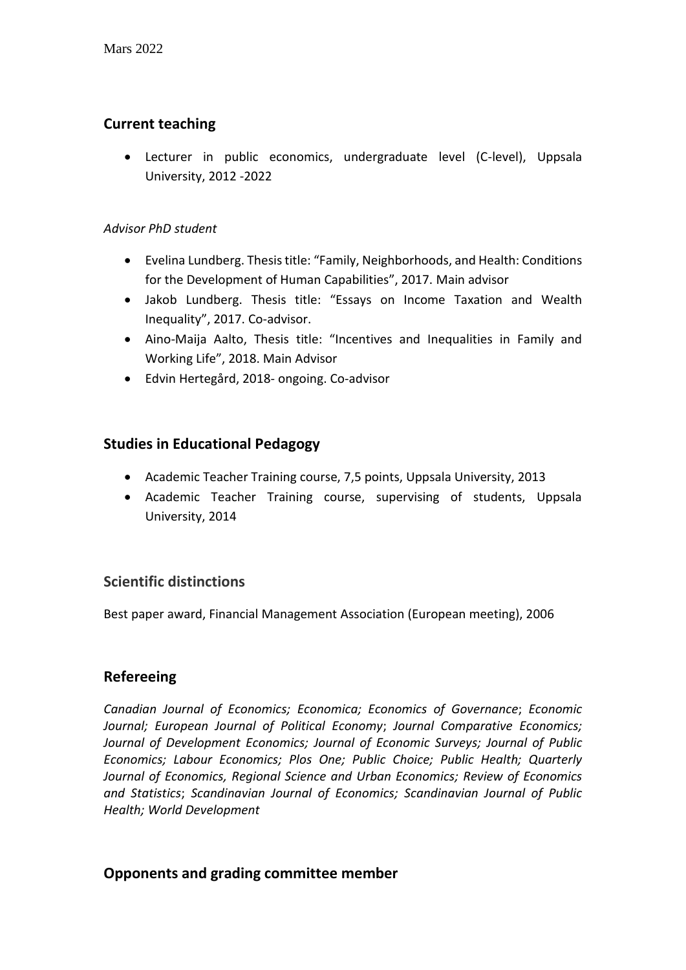# **Current teaching**

• Lecturer in public economics, undergraduate level (C-level), Uppsala University, 2012 -2022

### *Advisor PhD student*

- Evelina Lundberg. Thesis title: "Family, Neighborhoods, and Health: Conditions for the Development of Human Capabilities", 2017. Main advisor
- Jakob Lundberg. Thesis title: "Essays on Income Taxation and Wealth Inequality", 2017. Co-advisor.
- Aino-Maija Aalto, Thesis title: "Incentives and Inequalities in Family and Working Life", 2018. Main Advisor
- Edvin Hertegård, 2018- ongoing. Co-advisor

### **Studies in Educational Pedagogy**

- Academic Teacher Training course, 7,5 points, Uppsala University, 2013
- Academic Teacher Training course, supervising of students, Uppsala University, 2014

### **Scientific distinctions**

Best paper award, Financial Management Association (European meeting), 2006

### **Refereeing**

*Canadian Journal of Economics; Economica; Economics of Governance*; *Economic Journal; European Journal of Political Economy*; *Journal Comparative Economics; Journal of Development Economics; Journal of Economic Surveys; Journal of Public Economics; Labour Economics; Plos One; Public Choice; Public Health; Quarterly Journal of Economics, Regional Science and Urban Economics; Review of Economics and Statistics*; *Scandinavian Journal of Economics; Scandinavian Journal of Public Health; World Development*

### **Opponents and grading committee member**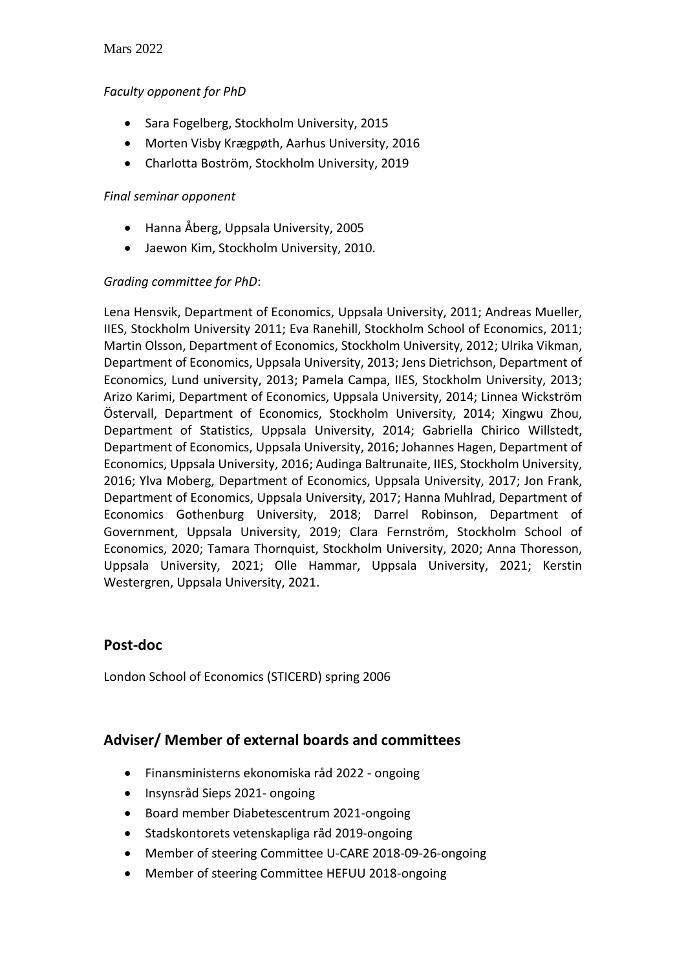### Mars 2022

#### *Faculty opponent for PhD*

- Sara Fogelberg, Stockholm University, 2015
- Morten Visby Krægpøth, Aarhus University, 2016
- Charlotta Boström, Stockholm University, 2019

#### *Final seminar opponent*

- Hanna Åberg, Uppsala University, 2005
- Jaewon Kim, Stockholm University, 2010.

### *Grading committee for PhD*:

Lena Hensvik, Department of Economics, Uppsala University, 2011; Andreas Mueller, IIES, Stockholm University 2011; Eva Ranehill, Stockholm School of Economics, 2011; Martin Olsson, Department of Economics, Stockholm University, 2012; Ulrika Vikman, Department of Economics, Uppsala University, 2013; Jens Dietrichson, Department of Economics, Lund university, 2013; Pamela Campa, IIES, Stockholm University, 2013; Arizo Karimi, Department of Economics, Uppsala University, 2014; Linnea Wickström Östervall, Department of Economics, Stockholm University, 2014; Xingwu Zhou, Department of Statistics, Uppsala University, 2014; Gabriella Chirico Willstedt, Department of Economics, Uppsala University, 2016; Johannes Hagen, Department of Economics, Uppsala University, 2016; Audinga Baltrunaite, IIES, Stockholm University, 2016; Ylva Moberg, Department of Economics, Uppsala University, 2017; Jon Frank, Department of Economics, Uppsala University, 2017; Hanna Muhlrad, Department of Economics Gothenburg University, 2018; Darrel Robinson, Department of Government, Uppsala University, 2019; Clara Fernström, Stockholm School of Economics, 2020; Tamara Thornquist, Stockholm University, 2020; Anna Thoresson, Uppsala University, 2021; Olle Hammar, Uppsala University, 2021; Kerstin Westergren, Uppsala University, 2021.

### **Post-doc**

London School of Economics (STICERD) spring 2006

### **Adviser/ Member of external boards and committees**

- Finansministerns ekonomiska råd 2022 ongoing
- Insynsråd Sieps 2021- ongoing
- Board member Diabetescentrum 2021-ongoing
- Stadskontorets vetenskapliga råd 2019-ongoing
- Member of steering Committee U-CARE 2018-09-26-ongoing
- Member of steering Committee HEFUU 2018-ongoing